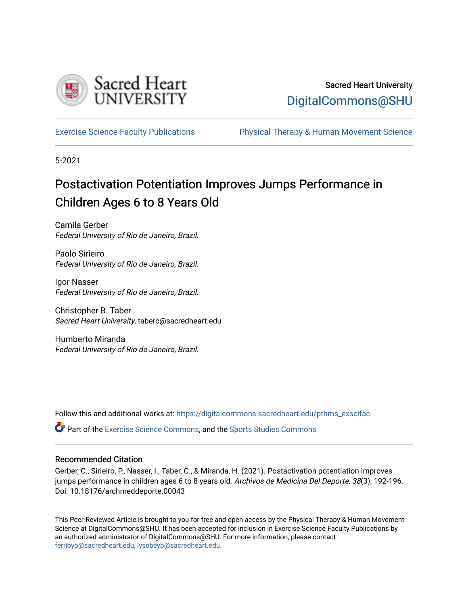

## Sacred Heart University [DigitalCommons@SHU](https://digitalcommons.sacredheart.edu/)

[Exercise Science Faculty Publications](https://digitalcommons.sacredheart.edu/pthms_exscifac) [Physical Therapy & Human Movement Science](https://digitalcommons.sacredheart.edu/pthms) 

5-2021

# Postactivation Potentiation Improves Jumps Performance in Children Ages 6 to 8 Years Old

Camila Gerber Federal University of Rio de Janeiro, Brazil.

Paolo Sirieiro Federal University of Rio de Janeiro, Brazil.

Igor Nasser Federal University of Rio de Janeiro, Brazil.

Christopher B. Taber Sacred Heart University, taberc@sacredheart.edu

Humberto Miranda Federal University of Rio de Janeiro, Brazil.

Follow this and additional works at: [https://digitalcommons.sacredheart.edu/pthms\\_exscifac](https://digitalcommons.sacredheart.edu/pthms_exscifac?utm_source=digitalcommons.sacredheart.edu%2Fpthms_exscifac%2F61&utm_medium=PDF&utm_campaign=PDFCoverPages)

Part of the [Exercise Science Commons](http://network.bepress.com/hgg/discipline/1091?utm_source=digitalcommons.sacredheart.edu%2Fpthms_exscifac%2F61&utm_medium=PDF&utm_campaign=PDFCoverPages), and the [Sports Studies Commons](http://network.bepress.com/hgg/discipline/1198?utm_source=digitalcommons.sacredheart.edu%2Fpthms_exscifac%2F61&utm_medium=PDF&utm_campaign=PDFCoverPages)

### Recommended Citation

Gerber, C., Sirieiro, P., Nasser, I., Taber, C., & Miranda, H. (2021). Postactivation potentiation improves jumps performance in children ages 6 to 8 years old. Archivos de Medicina Del Deporte, 38(3), 192-196. Doi: 10.18176/archmeddeporte.00043

This Peer-Reviewed Article is brought to you for free and open access by the Physical Therapy & Human Movement Science at DigitalCommons@SHU. It has been accepted for inclusion in Exercise Science Faculty Publications by an authorized administrator of DigitalCommons@SHU. For more information, please contact [ferribyp@sacredheart.edu, lysobeyb@sacredheart.edu.](mailto:ferribyp@sacredheart.edu,%20lysobeyb@sacredheart.edu)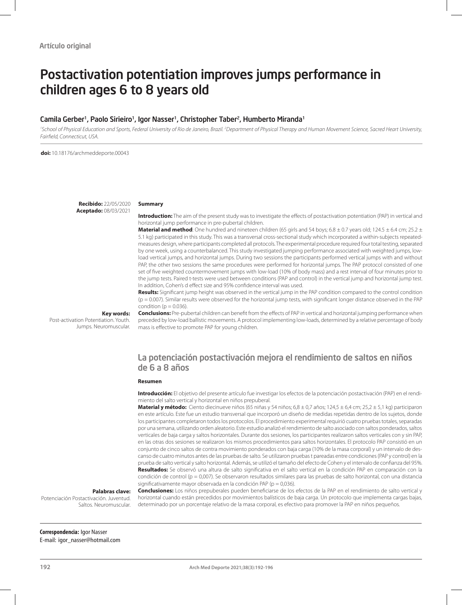# Postactivation potentiation improves jumps performance in children ages 6 to 8 years old

### Camila Gerber<sup>1</sup>, Paolo Sirieiro<sup>1</sup>, Igor Nasser<sup>1</sup>, Christopher Taber<sup>2</sup>, Humberto Miranda<sup>1</sup>

<sup>1</sup>School of Physical Education and Sports, Federal University of Rio de Janeiro, Brazil. <sup>2</sup>Department of Physical Therapy and Human Movement Science, Sacred Heart University, *Fairfield, Connecticut, USA.* 

**doi:** 10.18176/archmeddeporte.00043

**Recibido:** 22/05/2020 **Aceptado:** 08/03/2021

#### **Summary**

**Introduction:** The aim of the present study was to investigate the effects of postactivation potentiation (PAP) in vertical and horizontal jump performance in pre-pubertal children.

**Material and method**: One hundred and nineteen children (65 girls and 54 boys; 6.8 ± 0.7 years old; 124.5 ± 6.4 cm; 25.2 ± 5.1 kg) participated in this study. This was a transversal cross-sectional study which incorporated a within-subjects repeatedmeasures design, where participants completed all protocols. The experimental procedure required four total testing, separated by one week, using a counterbalanced. This study investigated jumping performance associated with weighted jumps, lowload vertical jumps, and horizontal jumps. During two sessions the participants performed vertical jumps with and without PAP, the other two sessions the same procedures were performed for horizontal jumps. The PAP protocol consisted of one set of five weighted countermovement jumps with low-load (10% of body mass) and a rest interval of four minutes prior to the jump tests. Paired t-tests were used between conditions (PAP and control) in the vertical jump and horizontal jump test. In addition, Cohen's d effect size and 95% confidence interval was used.

**Results:** Significant jump height was observed in the vertical jump in the PAP condition compared to the control condition (p = 0.007). Similar results were observed for the horizontal jump tests, with significant longer distance observed in the PAP condition ( $p = 0.036$ ).

**Key words:** 

Post-activation Potentiation. Youth. Jumps. Neuromuscular.

**Conclusions:** Pre-pubertal children can benefit from the effects of PAP in vertical and horizontal jumping performance when preceded by low-load ballistic movements. A protocol implementing low-loads, determined by a relative percentage of body mass is effective to promote PAP for young children.

### La potenciación postactivación mejora el rendimiento de saltos en niños de 6 a 8 años

#### **Resumen**

**Introducción:** El objetivo del presente artículo fue investigar los efectos de la potenciación postactivación (PAP) en el rendimiento del salto vertical y horizontal en niños prepuberal.

**Material y método:** Ciento diecinueve niños (65 niñas y 54 niños; 6,8 ± 0,7 años; 124,5 ± 6,4 cm; 25,2 ± 5,1 kg) participaron en este artículo. Este fue un estudio transversal que incorporó un diseño de medidas repetidas dentro de los sujetos, donde los participantes completaron todos los protocolos. El procedimiento experimental requirió cuatro pruebas totales, separadas por una semana, utilizando orden aleatorio. Este estudio analizó el rendimiento de salto asociado con saltos ponderados, saltos verticales de baja carga y saltos horizontales. Durante dos sesiones, los participantes realizaron saltos verticales con y sin PAP, en las otras dos sesiones se realizaron los mismos procedimientos para saltos horizontales. El protocolo PAP consistió en un conjunto de cinco saltos de contra movimiento ponderados con baja carga (10% de la masa corporal) y un intervalo de descanso de cuatro minutos antes de las pruebas de salto. Se utilizaron pruebas t pareadas entre condiciones (PAP y control) en la prueba de salto vertical y salto horizontal. Además, se utilizó el tamaño del efecto de Cohen y el intervalo de confianza del 95%. **Resultados:** Se observó una altura de salto significativa en el salto vertical en la condición PAP en comparación con la condición de control (p = 0,007). Se observaron resultados similares para las pruebas de salto horizontal, con una distancia significativamente mayor observada en la condición PAP (p = 0,036).

### **Palabras clave:**

Potenciación Postactivación. Juventud. Saltos. Neuromuscular. **Conclusiones:** Los niños prepuberales pueden beneficiarse de los efectos de la PAP en el rendimiento de salto vertical y horizontal cuando están precedidos por movimientos balísticos de baja carga. Un protocolo que implementa cargas bajas, determinado por un porcentaje relativo de la masa corporal, es efectivo para promover la PAP en niños pequeños.

**Correspondencia:** Igor Nasser E-mail: igor\_nasser@hotmail.com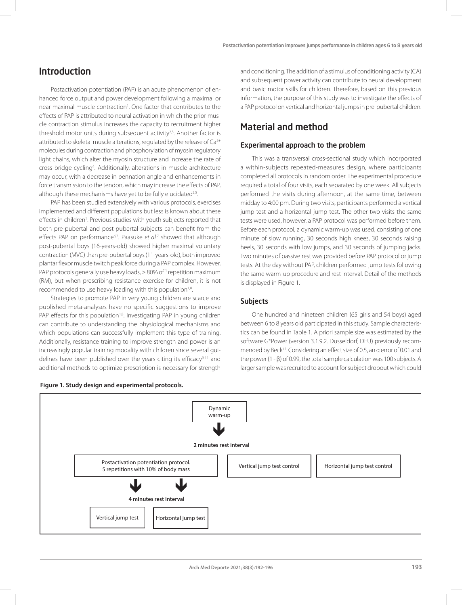### Introduction

Postactivation potentiation (PAP) is an acute phenomenon of enhanced force output and power development following a maximal or near maximal muscle contraction<sup>1</sup>. One factor that contributes to the effects of PAP is attributed to neural activation in which the prior muscle contraction stimulus increases the capacity to recruitment higher threshold motor units during subsequent activity<sup>2,3</sup>. Another factor is attributed to skeletal muscle alterations, regulated by the release of Ca<sup>2+</sup> molecules during contraction and phosphorylation of myosin regulatory light chains, which alter the myosin structure and increase the rate of cross bridge cycling4 . Additionally, alterations in muscle architecture may occur, with a decrease in pennation angle and enhancements in force transmission to the tendon, which may increase the effects of PAP, although these mechanisms have yet to be fully elucidated<sup>2,5</sup>.

PAP has been studied extensively with various protocols, exercises implemented and different populations but less is known about these effects in children<sup>1</sup>. Previous studies with youth subjects reported that both pre-pubertal and post-pubertal subjects can benefit from the effects PAP on performance<sup>6,7</sup>. Paasuke *et al.*<sup>7</sup> showed that although post-pubertal boys (16-years-old) showed higher maximal voluntary contraction (MVC) than pre-pubertal boys (11-years-old), both improved plantar flexor muscle twitch peak force during a PAP complex. However, PAP protocols generally use heavy loads,  $\geq 80\%$  of  $\frac{1}{1}$  repetition maximum (RM), but when prescribing resistance exercise for children, it is not recommended to use heavy loading with this population<sup>1,8</sup>.

Strategies to promote PAP in very young children are scarce and published meta-analyses have no specific suggestions to improve PAP effects for this population<sup>1,8</sup>. Investigating PAP in young children can contribute to understanding the physiological mechanisms and which populations can successfully implement this type of training. Additionally, resistance training to improve strength and power is an increasingly popular training modality with children since several guidelines have been published over the years citing its efficacy<sup>9-11</sup> and additional methods to optimize prescription is necessary for strength

and conditioning. The addition of a stimulus of conditioning activity (CA) and subsequent power activity can contribute to neural development and basic motor skills for children. Therefore, based on this previous information, the purpose of this study was to investigate the effects of a PAP protocol on vertical and horizontal jumps in pre-pubertal children.

### Material and method

### Experimental approach to the problem

This was a transversal cross-sectional study which incorporated a within-subjects repeated-measures design, where participants completed all protocols in random order. The experimental procedure required a total of four visits, each separated by one week. All subjects performed the visits during afternoon, at the same time, between midday to 4:00 pm. During two visits, participants performed a vertical jump test and a horizontal jump test. The other two visits the same tests were used, however, a PAP protocol was performed before them. Before each protocol, a dynamic warm-up was used, consisting of one minute of slow running, 30 seconds high knees, 30 seconds raising heels, 30 seconds with low jumps, and 30 seconds of jumping jacks. Two minutes of passive rest was provided before PAP protocol or jump tests. At the day without PAP, children performed jump tests following the same warm-up procedure and rest interval. Detail of the methods is displayed in Figure 1.

### Subjects

One hundred and nineteen children (65 girls and 54 boys) aged between 6 to 8 years old participated in this study. Sample characteristics can be found in Table 1. A priori sample size was estimated by the software G\*Power (version 3.1.9.2. Dusseldorf, DEU) previously recommended by Beck<sup>12</sup>. Considering an effect size of 0.5, an α error of 0.01 and the power (1 - β) of 0.99, the total sample calculation was 100 subjects. A larger sample was recruited to account for subject dropout which could

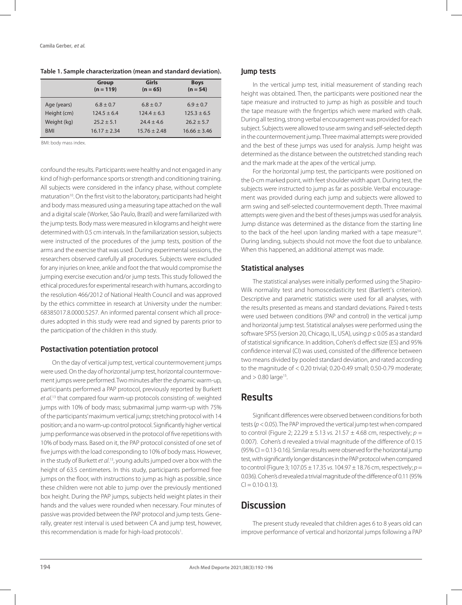|             | <b>Group</b><br>$(n = 119)$ | Girls<br>$(n = 65)$ | <b>Boys</b><br>$(n = 54)$ |
|-------------|-----------------------------|---------------------|---------------------------|
| Age (years) | $6.8 \pm 0.7$               | $6.8 \pm 0.7$       | $6.9 \pm 0.7$             |
| Height (cm) | $124.5 \pm 6.4$             | $124.4 \pm 6.3$     | $125.3 \pm 6.5$           |
| Weight (kg) | $25.2 + 5.1$                | $24.4 \pm 4.6$      | $26.2 \pm 5.7$            |
| <b>BMI</b>  | $16.17 \pm 2.34$            | $15.76 \pm 2.48$    | $16.66 \pm 3.46$          |

**Table 1. Sample characterization (mean and standard deviation).**

BMI: body mass index.

confound the results. Participants were healthy and not engaged in any kind of high-performance sports or strength and conditioning training. All subjects were considered in the infancy phase, without complete maturation<sup>10</sup>. On the first visit to the laboratory, participants had height and body mass measured using a measuring tape attached on the wall and a digital scale (Worker, São Paulo, Brazil) and were familiarized with the jump tests. Body mass were measured in kilograms and height were determined with 0.5 cm intervals. In the familiarization session, subjects were instructed of the procedures of the jump tests, position of the arms and the exercise that was used. During experimental sessions, the researchers observed carefully all procedures. Subjects were excluded for any injuries on knee, ankle and foot the that would compromise the jumping exercise execution and/or jump tests. This study followed the ethical procedures for experimental research with humans, according to the resolution 466/2012 of National Health Council and was approved by the ethics committee in research at University under the number: 68385017.8.0000.5257. An informed parental consent which all procedures adopted in this study were read and signed by parents prior to the participation of the children in this study.

### Postactivation potentiation protocol

On the day of vertical jump test, vertical countermovement jumps were used. On the day of horizontal jump test, horizontal countermovement jumps were performed. Two minutes after the dynamic warm-up, participants performed a PAP protocol, previously reported by Burkett *et al*. 13 that compared four warm-up protocols consisting of: weighted jumps with 10% of body mass; submaximal jump warm-up with 75% of the participants' maximum vertical jump; stretching protocol with 14 position; and a no warm-up control protocol. Significantly higher vertical jump performance was observed in the protocol of five repetitions with 10% of body mass. Based on it, the PAP protocol consisted of one set of five jumps with the load corresponding to 10% of body mass. However, in the study of Burkett *et al*. 13, young adults jumped over a box with the height of 63.5 centimeters. In this study, participants performed free jumps on the floor, with instructions to jump as high as possible, since these children were not able to jump over the previously mentioned box height. During the PAP jumps, subjects held weight plates in their hands and the values were rounded when necessary. Four minutes of passive was provided between the PAP protocol and jump tests. Generally, greater rest interval is used between CA and jump test, however, this recommendation is made for high-load protocols<sup>1</sup>.

### Jump tests

In the vertical jump test, initial measurement of standing reach height was obtained. Then, the participants were positioned near the tape measure and instructed to jump as high as possible and touch the tape measure with the fingertips which were marked with chalk. During all testing, strong verbal encouragement was provided for each subject. Subjects were allowed to use arm swing and self-selected depth in the countermovement jump. Three maximal attempts were provided and the best of these jumps was used for analysis. Jump height was determined as the distance between the outstretched standing reach and the mark made at the apex of the vertical jump.

For the horizontal jump test, the participants were positioned on the 0-cm marked point, with feet shoulder width apart. During test, the subjects were instructed to jump as far as possible. Verbal encouragement was provided during each jump and subjects were allowed to arm swing and self-selected countermovement depth. Three maximal attempts were given and the best of theses jumps was used for analysis. Jump distance was determined as the distance from the starting line to the back of the heel upon landing marked with a tape measure<sup>14</sup>. During landing, subjects should not move the foot due to unbalance. When this happened, an additional attempt was made.

### Statistical analyses

The statistical analyses were initially performed using the Shapiro-Wilk normality test and homoscedasticity test (Bartlett's criterion). Descriptive and parametric statistics were used for all analyses, with the results presented as means and standard deviations. Paired t-tests were used between conditions (PAP and control) in the vertical jump and horizontal jump test. Statistical analyses were performed using the software SPSS (version 20, Chicago, IL, USA), using *p* ≤ 0.05 as a standard of statistical significance. In addition, Cohen's d effect size (ES) and 95% confidence interval (CI) was used, consisted of the difference between two means divided by pooled standard deviation, and rated according to the magnitude of < 0.20 trivial; 0.20-0.49 small; 0.50-0.79 moderate; and  $> 0.80$  large<sup>15</sup>.

### Results

Significant differences were observed between conditions for both tests (*p* < 0.05). The PAP improved the vertical jump test when compared to control (Figure 2; 22.29 ± 5.13 *vs.* 21.57 ± 4.68 cm, respectively; *p* = 0.007). Cohen's d revealed a trivial magnitude of the difference of 0.15  $(95\%$  CI = 0.13-0.16). Similar results were observed for the horizontal jump. test, with significantly longer distances in the PAP protocol when compared to control (Figure 3; 107.05 ± 17.35 *vs*. 104.97 ± 18.76 cm, respectively; *p* = 0.036). Cohen's d revealed a trivial magnitude of the difference of 0.11 (95%  $C = 0.10 - 0.13$ 

## **Discussion**

The present study revealed that children ages 6 to 8 years old can improve performance of vertical and horizontal jumps following a PAP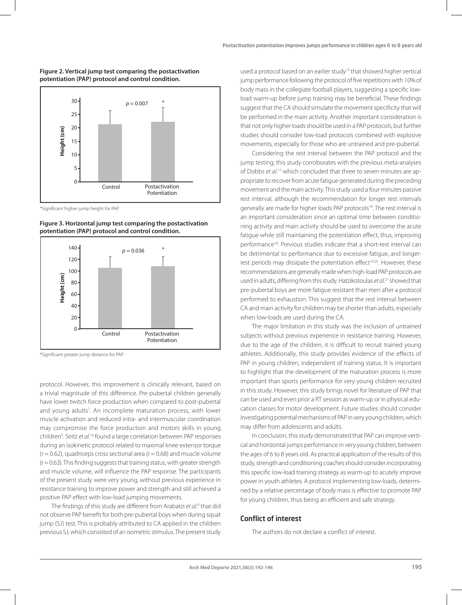



\*Significant higher jump height for PAP.





\*Significant greater jump distance for PAP.

protocol. However, this improvement is clinically relevant, based on a trivial magnitude of this difference. Pre-pubertal children generally have lower twitch force production when compared to post-pubertal and young adults<sup>7</sup>. An incomplete maturation process, with lower muscle activation and reduced intra- and intermuscular coordination may compromise the force production and motors skills in young children<sup>9</sup>. Seitz et al.<sup>16</sup> found a large correlation between PAP responses during an isokinetic protocol related to maximal knee extensor torque  $(r = 0.62)$ , quadriceps cross sectional area  $(r = 0.68)$  and muscle volume (*r* = 0.63). This finding suggests that training status, with greater strength and muscle volume, will influence the PAP response. The participants of the present study were very young, without previous experience in resistance training to improve power and strength and still achieved a positive PAP effect with low-load jumping movements.

The findings of this study are different from Arabatzi et al.<sup>6</sup> that did not observe PAP benefit for both pre-pubertal boys when during squat jump (SJ) test. This is probably attributed to CA applied in the children previous SJ, which consisted of an isometric stimulus. The present study

used a protocol based on an earlier study<sup>13</sup> that showed higher vertical jump performance following the protocol of five repetitions with 10% of body mass in the collegiate football players, suggesting a specific lowload warm-up before jump training may be beneficial. These findings suggest that the CA should simulate the movement specificity that will be performed in the main activity. Another important consideration is that not only higher loads should be used in a PAP protocols, but further studies should consider low-load protocols combined with explosive movements, especially for those who are untrained and pre-pubertal.

Considering the rest interval between the PAP protocol and the jump testing, this study corroborates with the previous meta-analyses of Dobbs *et al*. 17 which concluded that three to seven minutes are appropriate to recover from acute fatigue generated during the preceding movement and the main activity. This study used a four minutes passive rest interval, although the recommendation for longer rest intervals generally are made for higher loads PAP protocols<sup>18</sup>. The rest interval is an important consideration since an optimal time between conditioning activity and main activity should be used to overcome the acute fatigue while still maintaining the potentiation effect, thus, improving performance18. Previous studies indicate that a short-rest interval can be detrimental to performance due to excessive fatigue, and longerrest periods may dissipate the potentiation effect<sup>19,20</sup>. However, these recommendations are generally made when high-load PAP protocols are used in adults, differing from this study. Hatzikotoulas *et al*. 21 showed that pre-pubertal boys are more fatigue resistant than men after a protocol performed to exhaustion. This suggest that the rest interval between CA and main activity for children may be shorter than adults, especially when low-loads are used during the CA.

The major limitation in this study was the inclusion of untrained subjects without previous experience in resistance training. However, due to the age of the children, it is difficult to recruit trained young athletes. Additionally, this study provides evidence of the effects of PAP in young children, independent of training status. It is important to highlight that the development of the maturation process is more important than sports performance for very young children recruited in this study. However, this study brings novel for literature of PAP that can be used and even prior a RT session as warm-up or in physical education classes for motor development. Future studies should consider investigating potential mechanisms of PAP in very young children, which may differ from adolescents and adults.

In conclusion, this study demonstrated that PAP can improve vertical and horizontal jumps performance in very young children, between the ages of 6 to 8 years old. As practical application of the results of this study, strength and conditioning coaches should consider incorporating this specific low-load training strategy as warm-up to acutely improve power in youth athletes. A protocol implementing low-loads, determined by a relative percentage of body mass is effective to promote PAP for young children, thus being an efficient and safe strategy.

### Conflict of interest

The authors do not declare a conflict of interest.